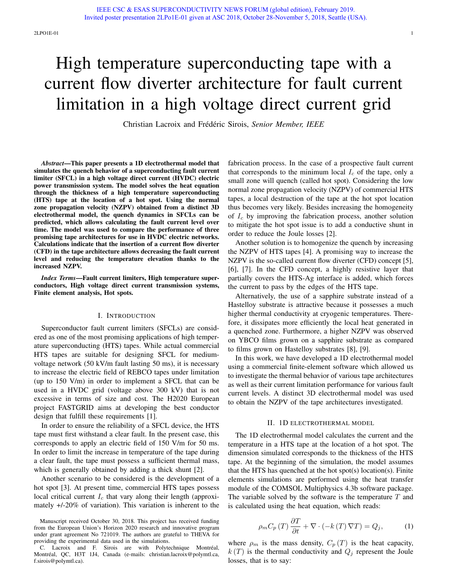# limitation in a high voltage direct current grid

Christian Lacroix and Frédéric Sirois, Senior Member, IEEE

*Abstract*—This paper presents a 1D electrothermal model that simulates the quench behavior of a superconducting fault current limiter (SFCL) in a high voltage direct current (HVDC) electric power transmission system. The model solves the heat equation through the thickness of a high temperature superconducting (HTS) tape at the location of a hot spot. Using the normal zone propagation velocity (NZPV) obtained from a distinct 3D electrothermal model, the quench dynamics in SFCLs can be predicted, which allows calculating the fault current level over time. The model was used to compare the performance of three promising tape architectures for use in HVDC electric networks. Calculations indicate that the insertion of a current flow diverter (CFD) in the tape architecture allows decreasing the fault current level and reducing the temperature elevation thanks to the increased NZPV.

*Index Terms*—Fault current limiters, High temperature superconductors, High voltage direct current transmission systems, Finite element analysis, Hot spots.

### I. INTRODUCTION

Superconductor fault current limiters (SFCLs) are considered as one of the most promising applications of high temperature superconducting (HTS) tapes. While actual commercial HTS tapes are suitable for designing SFCL for mediumvoltage network (50 kV/m fault lasting 50 ms), it is necessary to increase the electric field of REBCO tapes under limitation (up to 150 V/m) in order to implement a SFCL that can be used in a HVDC grid (voltage above 300 kV) that is not excessive in terms of size and cost. The H2020 European project FASTGRID aims at developing the best conductor design that fulfill these requirements [1].

In order to ensure the reliability of a SFCL device, the HTS tape must first withstand a clear fault. In the present case, this corresponds to apply an electric field of 150 V/m for 50 ms. In order to limit the increase in temperature of the tape during a clear fault, the tape must possess a sufficient thermal mass, which is generally obtained by adding a thick shunt [2].

Another scenario to be considered is the development of a hot spot [3]. At present time, commercial HTS tapes possess local critical current  $I_c$  that vary along their length (approximately +/-20% of variation). This variation is inherent to the

Manuscript received October 30, 2018. This project has received funding from the European Union's Horizon 2020 research and innovative program under grant agreement No 721019. The authors are grateful to THEVA for providing the experimental data used in the simulations.

C. Lacroix and F. Sirois are with Polytechnique Montréal, Montréal, QC, H3T 1J4, Canada (e-mails: christian.lacroix@polymtl.ca, f.sirois@polymtl.ca).

fabrication process. In the case of a prospective fault current that corresponds to the minimum local  $I_c$  of the tape, only a small zone will quench (called hot spot). Considering the low normal zone propagation velocity (NZPV) of commercial HTS tapes, a local destruction of the tape at the hot spot location thus becomes very likely. Besides increasing the homogeneity of  $I_c$  by improving the fabrication process, another solution to mitigate the hot spot issue is to add a conductive shunt in order to reduce the Joule losses [2].

Another solution is to homogenize the quench by increasing the NZPV of HTS tapes [4]. A promising way to increase the NZPV is the so-called current flow diverter (CFD) concept [5], [6], [7]. In the CFD concept, a highly resistive layer that partially covers the HTS-Ag interface is added, which forces the current to pass by the edges of the HTS tape.

Alternatively, the use of a sapphire substrate instead of a Hastelloy substrate is attractive because it possesses a much higher thermal conductivity at cryogenic temperatures. Therefore, it dissipates more efficiently the local heat generated in a quenched zone. Furthermore, a higher NZPV was observed on YBCO films grown on a sapphire substrate as compared to films grown on Hastelloy substrates [8], [9].

In this work, we have developed a 1D electrothermal model using a commercial finite-element software which allowed us to investigate the thermal behavior of various tape architectures as well as their current limitation performance for various fault current levels. A distinct 3D electrothermal model was used to obtain the NZPV of the tape architectures investigated.

## II. 1D ELECTROTHERMAL MODEL

The 1D electrothermal model calculates the current and the temperature in a HTS tape at the location of a hot spot. The dimension simulated corresponds to the thickness of the HTS tape. At the beginning of the simulation, the model assumes that the HTS has quenched at the hot spot(s) location(s). Finite elements simulations are performed using the heat transfer module of the COMSOL Multiphysics 4.3b software package. The variable solved by the software is the temperature  $T$  and is calculated using the heat equation, which reads:

$$
\rho_m C_p(T) \frac{\partial T}{\partial t} + \nabla \cdot (-k(T) \nabla T) = Q_j,\tag{1}
$$

where  $\rho_m$  is the mass density,  $C_p(T)$  is the heat capacity,  $k(T)$  is the thermal conductivity and  $Q_j$  represent the Joule losses, that is to say: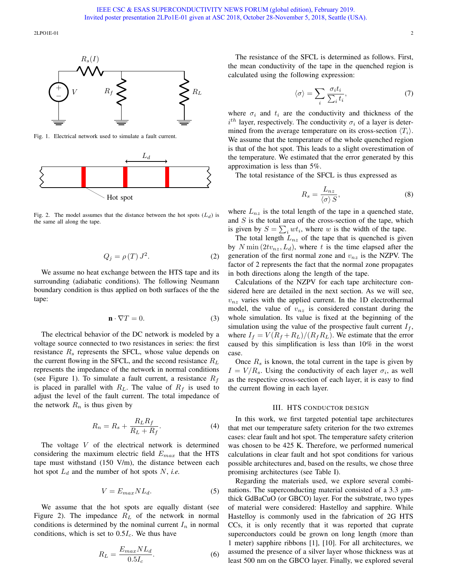2LPO1E-01 2



Fig. 1. Electrical network used to simulate a fault current.



Fig. 2. The model assumes that the distance between the hot spots  $(L_d)$  is the same all along the tape.

$$
Q_j = \rho(T) J^2. \tag{2}
$$

We assume no heat exchange between the HTS tape and its surrounding (adiabatic conditions). The following Neumann boundary condition is thus applied on both surfaces of the the tape:

$$
\mathbf{n} \cdot \nabla T = 0. \tag{3}
$$

The electrical behavior of the DC network is modeled by a voltage source connected to two resistances in series: the first resistance  $R<sub>s</sub>$  represents the SFCL, whose value depends on the current flowing in the SFCL, and the second resistance  $R_L$ represents the impedance of the network in normal conditions (see Figure 1). To simulate a fault current, a resistance  $R_f$ is placed in parallel with  $R_L$ . The value of  $R_f$  is used to adjust the level of the fault current. The total impedance of the network  $R_n$  is thus given by

$$
R_n = R_s + \frac{R_L R_f}{R_L + R_f}.\tag{4}
$$

The voltage  $V$  of the electrical network is determined considering the maximum electric field  $E_{max}$  that the HTS tape must withstand (150 V/m), the distance between each hot spot  $L_d$  and the number of hot spots  $N$ , *i.e.* 

$$
V = E_{max} N L_d. \t\t(5)
$$

We assume that the hot spots are equally distant (see Figure 2). The impedance  $R_L$  of the network in normal conditions is determined by the nominal current  $I_n$  in normal conditions, which is set to  $0.5I_c$ . We thus have

$$
R_L = \frac{E_{max} N L_d}{0.5 I_c}.
$$
\n<sup>(6)</sup>

The resistance of the SFCL is determined as follows. First, the mean conductivity of the tape in the quenched region is calculated using the following expression:

$$
\langle \sigma \rangle = \sum_{i} \frac{\sigma_i t_i}{\sum_i t_i},\tag{7}
$$

where  $\sigma_i$  and  $t_i$  are the conductivity and thickness of the  $i^{th}$  layer, respectively. The conductivity  $\sigma_i$  of a layer is determined from the average temperature on its cross-section  $\langle T_i \rangle$ . We assume that the temperature of the whole quenched region is that of the hot spot. This leads to a slight overestimation of the temperature. We estimated that the error generated by this approximation is less than 5%.

The total resistance of the SFCL is thus expressed as

$$
R_s = \frac{L_{nz}}{\langle \sigma \rangle S},\tag{8}
$$

where  $L_{nz}$  is the total length of the tape in a quenched state, and  $S$  is the total area of the cross-section of the tape, which is given by  $S = \sum_i wt_i$ , where w is the width of the tape.

The total length  $L_{nz}$  of the tape that is quenched is given by  $N \min(2tv_{nz}, L_d)$ , where t is the time elapsed after the generation of the first normal zone and  $v_{nz}$  is the NZPV. The factor of 2 represents the fact that the normal zone propagates in both directions along the length of the tape.

Calculations of the NZPV for each tape architecture considered here are detailed in the next section. As we will see,  $v_{nz}$  varies with the applied current. In the 1D electrothermal model, the value of  $v_{nz}$  is considered constant during the whole simulation. Its value is fixed at the beginning of the simulation using the value of the prospective fault current  $I_f$ , where  $I_f = V(R_f + R_L)/(R_f R_L)$ . We estimate that the error caused by this simplification is less than 10% in the worst case.

Once  $R_s$  is known, the total current in the tape is given by  $I = V/R<sub>s</sub>$ . Using the conductivity of each layer  $\sigma<sub>i</sub>$ , as well as the respective cross-section of each layer, it is easy to find the current flowing in each layer.

### III. HTS CONDUCTOR DESIGN

In this work, we first targeted potential tape architectures that met our temperature safety criterion for the two extremes cases: clear fault and hot spot. The temperature safety criterion was chosen to be 425 K. Therefore, we performed numerical calculations in clear fault and hot spot conditions for various possible architectures and, based on the results, we chose three promising architectures (see Table I).

Regarding the materials used, we explore several combinations. The superconducting material consisted of a 3.3  $\mu$ mthick GdBaCuO (or GBCO) layer. For the substrate, two types of material were considered: Hastelloy and sapphire. While Hastelloy is commonly used in the fabrication of 2G HTS CCs, it is only recently that it was reported that cuprate superconductors could be grown on long length (more than 1 meter) sapphire ribbons [1], [10]. For all architectures, we assumed the presence of a silver layer whose thickness was at least 500 nm on the GBCO layer. Finally, we explored several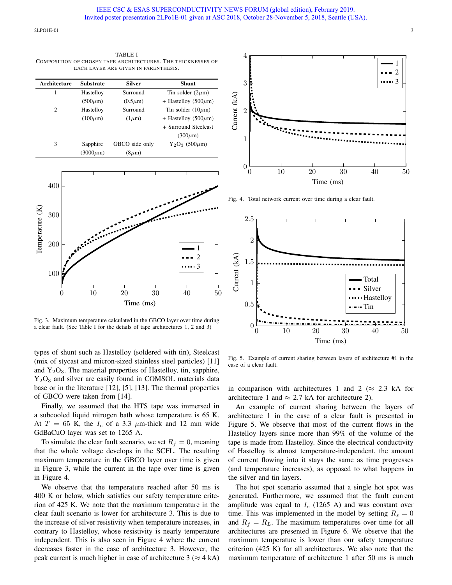2LPOIE-01 3

TABLE I COMPOSITION OF CHOSEN TAPE ARCHITECTURES. THE THICKNESSES OF EACH LAYER ARE GIVEN IN PARENTHESIS.

| Architecture | <b>Substrate</b> | <b>Silver</b>  | <b>Shunt</b>              |
|--------------|------------------|----------------|---------------------------|
|              | Hastelloy        | Surround       | Tin solder $(2\mu m)$     |
|              | $(500 \mu m)$    | $(0.5\mu m)$   | + Hastelloy (500 $\mu$ m) |
| 2            | Hastelloy        | Surround       | Tin solder $(10 \mu m)$   |
|              | $(100 \mu m)$    | $(1 \mu m)$    | + Hastelloy (500 $\mu$ m) |
|              |                  |                | + Surround Steelcast      |
|              |                  |                | $(300 \mu m)$             |
| 3            | Sapphire         | GBCO side only | $Y_2O_3$ (500 $\mu$ m)    |
|              | $(3000 \mu m)$   | $(8\mu m)$     |                           |



Fig. 3. Maximum temperature calculated in the GBCO layer over time during a clear fault. (See Table I for the details of tape architectures 1, 2 and 3)

types of shunt such as Hastelloy (soldered with tin), Steelcast (mix of stycast and micron-sized stainless steel particles) [11] and  $Y_2O_3$ . The material properties of Hastelloy, tin, sapphire,  $Y_2O_3$  and silver are easily found in COMSOL materials data base or in the literature [12], [5], [13]. The thermal properties of GBCO were taken from [14].

Finally, we assumed that the HTS tape was immersed in a subcooled liquid nitrogen bath whose temperature is 65 K. At  $T = 65$  K, the  $I_c$  of a 3.3  $\mu$ m-thick and 12 mm wide GdBaCuO layer was set to 1265 A.

To simulate the clear fault scenario, we set  $R_f = 0$ , meaning that the whole voltage develops in the SCFL. The resulting maximum temperature in the GBCO layer over time is given in Figure 3, while the current in the tape over time is given in Figure 4.

We observe that the temperature reached after 50 ms is 400 K or below, which satisfies our safety temperature criterion of 425 K. We note that the maximum temperature in the clear fault scenario is lower for architecture 3. This is due to the increase of silver resistivity when temperature increases, in contrary to Hastelloy, whose resistivity is nearly temperature independent. This is also seen in Figure 4 where the current decreases faster in the case of architecture 3. However, the peak current is much higher in case of architecture  $3 \approx 4$  kA)



Fig. 4. Total network current over time during a clear fault.



Fig. 5. Example of current sharing between layers of architecture #1 in the case of a clear fault.

in comparison with architectures 1 and 2 ( $\approx$  2.3 kA for architecture 1 and  $\approx 2.7$  kA for architecture 2).

An example of current sharing between the layers of architecture 1 in the case of a clear fault is presented in Figure 5. We observe that most of the current flows in the Hastelloy layers since more than 99% of the volume of the tape is made from Hastelloy. Since the electrical conductivity of Hastelloy is almost temperature-independent, the amount of current flowing into it stays the same as time progresses (and temperature increases), as opposed to what happens in the silver and tin layers.

The hot spot scenario assumed that a single hot spot was generated. Furthermore, we assumed that the fault current amplitude was equal to  $I_c$  (1265 A) and was constant over time. This was implemented in the model by setting  $R_s = 0$ and  $R_f = R_L$ . The maximum temperatures over time for all architectures are presented in Figure 6. We observe that the maximum temperature is lower than our safety temperature criterion (425 K) for all architectures. We also note that the maximum temperature of architecture 1 after 50 ms is much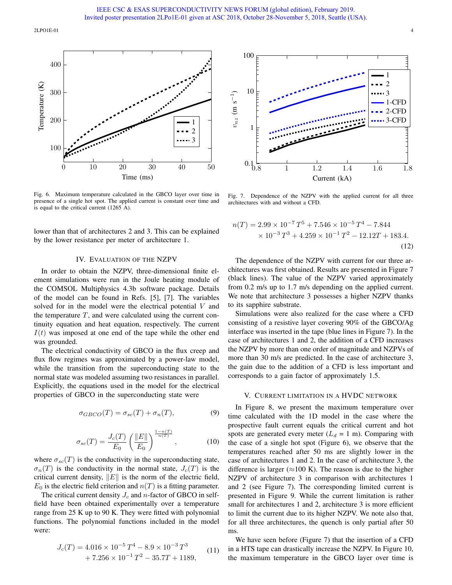2LPO1E-01 4



Fig. 6. Maximum temperature calculated in the GBCO layer over time in presence of a single hot spot. The applied current is constant over time and is equal to the critical current (1265 A).

lower than that of architectures 2 and 3. This can be explained by the lower resistance per meter of architecture 1.

## IV. EVALUATION OF THE NZPV

In order to obtain the NZPV, three-dimensional finite element simulations were run in the Joule heating module of the COMSOL Multiphysics 4.3b software package. Details of the model can be found in Refs. [5], [7]. The variables solved for in the model were the electrical potential V and the temperature  $T$ , and were calculated using the current continuity equation and heat equation, respectively. The current  $I(t)$  was imposed at one end of the tape while the other end was grounded.

The electrical conductivity of GBCO in the flux creep and flux flow regimes was approximated by a power-law model, while the transition from the superconducting state to the normal state was modeled assuming two resistances in parallel. Explicitly, the equations used in the model for the electrical properties of GBCO in the superconducting state were

$$
\sigma_{GBCO}(T) = \sigma_{sc}(T) + \sigma_n(T), \tag{9}
$$

$$
\sigma_{sc}(T) = \frac{J_c(T)}{E_0} \left(\frac{\|E\|}{E_0}\right)^{\frac{1-n(T)}{n(T)}},\tag{10}
$$

where  $\sigma_{sc}(T)$  is the conductivity in the superconducting state,  $\sigma_n(T)$  is the conductivity in the normal state,  $J_c(T)$  is the critical current density,  $||E||$  is the norm of the electric field,  $E_0$  is the electric field criterion and  $n(T)$  is a fitting parameter.

The critical current density  $J_c$  and n-factor of GBCO in selffield have been obtained experimentally over a temperature range from 25 K up to 90 K. They were fitted with polynomial functions. The polynomial functions included in the model were:

$$
J_c(T) = 4.016 \times 10^{-5} T^4 - 8.9 \times 10^{-3} T^3
$$
  
+ 7.256 × 10<sup>-1</sup> T<sup>2</sup> - 35.7T + 1189, (11)



Fig. 7. Dependence of the NZPV with the applied current for all three architectures with and without a CFD.

$$
n(T) = 2.99 \times 10^{-7} T^5 + 7.546 \times 10^{-5} T^4 - 7.844
$$
  
× 10<sup>-3</sup> T<sup>3</sup> + 4.259 × 10<sup>-1</sup> T<sup>2</sup> - 12.12T + 183.4. (12)

The dependence of the NZPV with current for our three architectures was first obtained. Results are presented in Figure 7 (black lines). The value of the NZPV varied approximately from 0.2 m/s up to 1.7 m/s depending on the applied current. We note that architecture 3 possesses a higher NZPV thanks to its sapphire substrate.

Simulations were also realized for the case where a CFD consisting of a resistive layer covering 90% of the GBCO/Ag interface was inserted in the tape (blue lines in Figure 7). In the case of architectures 1 and 2, the addition of a CFD increases the NZPV by more than one order of magnitude and NZPVs of more than 30 m/s are predicted. In the case of architecture 3, the gain due to the addition of a CFD is less important and corresponds to a gain factor of approximately 1.5.

#### V. CURRENT LIMITATION IN A HVDC NETWORK

In Figure 8, we present the maximum temperature over time calculated with the 1D model in the case where the prospective fault current equals the critical current and hot spots are generated every meter  $(L_d = 1 \text{ m})$ . Comparing with the case of a single hot spot (Figure 6), we observe that the temperatures reached after 50 ms are slightly lower in the case of architectures 1 and 2. In the case of architecture 3, the difference is larger ( $\approx$ 100 K). The reason is due to the higher NZPV of architecture 3 in comparison with architectures 1 and 2 (see Figure 7). The corresponding limited current is presented in Figure 9. While the current limitation is rather small for architectures 1 and 2, architecture 3 is more efficient to limit the current due to its higher NZPV. We note also that, for all three architectures, the quench is only partial after 50 ms.

We have seen before (Figure 7) that the insertion of a CFD in a HTS tape can drastically increase the NZPV. In Figure 10, the maximum temperature in the GBCO layer over time is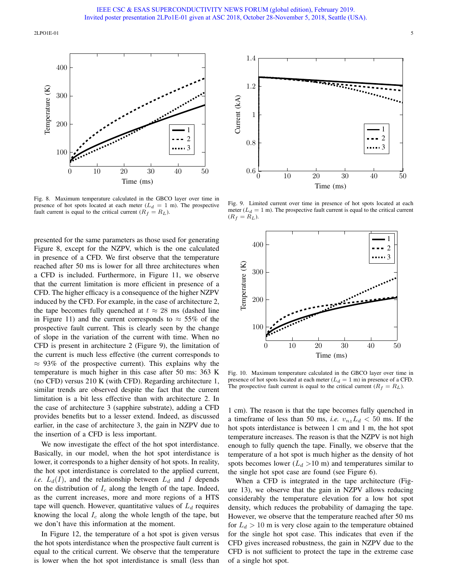2LPOIE-01 5



Fig. 8. Maximum temperature calculated in the GBCO layer over time in presence of hot spots located at each meter ( $L_d = 1$  m). The prospective fault current is equal to the critical current  $(R_f = R_L)$ .

presented for the same parameters as those used for generating Figure 8, except for the NZPV, which is the one calculated in presence of a CFD. We first observe that the temperature reached after 50 ms is lower for all three architectures when a CFD is included. Furthermore, in Figure 11, we observe that the current limitation is more efficient in presence of a CFD. The higher efficacy is a consequence of the higher NZPV induced by the CFD. For example, in the case of architecture 2, the tape becomes fully quenched at  $t \approx 28$  ms (dashed line in Figure 11) and the current corresponds to  $\approx$  55% of the prospective fault current. This is clearly seen by the change of slope in the variation of the current with time. When no CFD is present in architecture 2 (Figure 9), the limitation of the current is much less effective (the current corresponds to  $\approx$  93% of the prospective current). This explains why the temperature is much higher in this case after 50 ms: 363 K (no CFD) versus 210 K (with CFD). Regarding architecture 1, similar trends are observed despite the fact that the current limitation is a bit less effective than with architecture 2. In the case of architecture 3 (sapphire substrate), adding a CFD provides benefits but to a lesser extend. Indeed, as discussed earlier, in the case of architecture 3, the gain in NZPV due to the insertion of a CFD is less important.

We now investigate the effect of the hot spot interdistance. Basically, in our model, when the hot spot interdistance is lower, it corresponds to a higher density of hot spots. In reality, the hot spot interdistance is correlated to the applied current, *i.e.*  $L_d(I)$ , and the relationship between  $L_d$  and I depends on the distribution of  $I_c$  along the length of the tape. Indeed, as the current increases, more and more regions of a HTS tape will quench. However, quantitative values of  $L_d$  requires knowing the local  $I_c$  along the whole length of the tape, but we don't have this information at the moment.

In Figure 12, the temperature of a hot spot is given versus the hot spots interdistance when the prospective fault current is equal to the critical current. We observe that the temperature is lower when the hot spot interdistance is small (less than



Fig. 9. Limited current over time in presence of hot spots located at each meter  $(L_d = 1 \text{ m})$ . The prospective fault current is equal to the critical current  $(R_f = R_L).$ 



Fig. 10. Maximum temperature calculated in the GBCO layer over time in presence of hot spots located at each meter  $(L_d = 1 \text{ m})$  in presence of a CFD. The prospective fault current is equal to the critical current  $(R_f = R_L)$ .

1 cm). The reason is that the tape becomes fully quenched in a timeframe of less than 50 ms, *i.e.*  $v_{nz}L_d < 50$  ms. If the hot spots interdistance is between 1 cm and 1 m, the hot spot temperature increases. The reason is that the NZPV is not high enough to fully quench the tape. Finally, we observe that the temperature of a hot spot is much higher as the density of hot spots becomes lower  $(L_d > 10 \text{ m})$  and temperatures similar to the single hot spot case are found (see Figure 6).

When a CFD is integrated in the tape architecture (Figure 13), we observe that the gain in NZPV allows reducing considerably the temperature elevation for a low hot spot density, which reduces the probability of damaging the tape. However, we observe that the temperature reached after 50 ms for  $L_d > 10$  m is very close again to the temperature obtained for the single hot spot case. This indicates that even if the CFD gives increased robustness, the gain in NZPV due to the CFD is not sufficient to protect the tape in the extreme case of a single hot spot.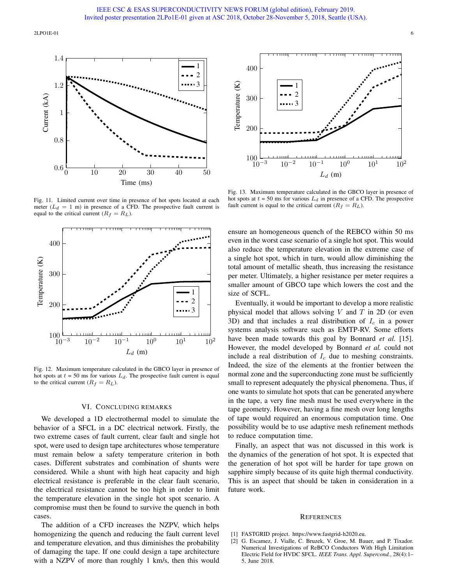2LPO1E-01 6



Fig. 11. Limited current over time in presence of hot spots located at each meter  $(L_d = 1$  m) in presence of a CFD. The prospective fault current is equal to the critical current  $(R_f = R_L)$ .



Fig. 12. Maximum temperature calculated in the GBCO layer in presence of hot spots at  $t = 50$  ms for various  $L_d$ . The prospective fault current is equal to the critical current  $(R_f = R_L)$ .

#### VI. CONCLUDING REMARKS

We developed a 1D electrothermal model to simulate the behavior of a SFCL in a DC electrical network. Firstly, the two extreme cases of fault current, clear fault and single hot spot, were used to design tape architectures whose temperature must remain below a safety temperature criterion in both cases. Different substrates and combination of shunts were considered. While a shunt with high heat capacity and high electrical resistance is preferable in the clear fault scenario, the electrical resistance cannot be too high in order to limit the temperature elevation in the single hot spot scenario. A compromise must then be found to survive the quench in both cases.

The addition of a CFD increases the NZPV, which helps homogenizing the quench and reducing the fault current level and temperature elevation, and thus diminishes the probability of damaging the tape. If one could design a tape architecture with a NZPV of more than roughly 1 km/s, then this would



Fig. 13. Maximum temperature calculated in the GBCO layer in presence of hot spots at  $t = 50$  ms for various  $L_d$  in presence of a CFD. The prospective fault current is equal to the critical current  $(R_f = R_L)$ .

ensure an homogeneous quench of the REBCO within 50 ms even in the worst case scenario of a single hot spot. This would also reduce the temperature elevation in the extreme case of a single hot spot, which in turn, would allow diminishing the total amount of metallic sheath, thus increasing the resistance per meter. Ultimately, a higher resistance per meter requires a smaller amount of GBCO tape which lowers the cost and the size of SCFL.

Eventually, it would be important to develop a more realistic physical model that allows solving  $V$  and  $T$  in 2D (or even 3D) and that includes a real distribution of  $I_c$  in a power systems analysis software such as EMTP-RV. Some efforts have been made towards this goal by Bonnard *et al.* [15]. However, the model developed by Bonnard *et al.* could not include a real distribution of  $I_c$  due to meshing constraints. Indeed, the size of the elements at the frontier between the normal zone and the superconducting zone must be sufficiently small to represent adequately the physical phenomena. Thus, if one wants to simulate hot spots that can be generated anywhere in the tape, a very fine mesh must be used everywhere in the tape geometry. However, having a fine mesh over long lengths of tape would required an enormous computation time. One possibility would be to use adaptive mesh refinement methods to reduce computation time.

Finally, an aspect that was not discussed in this work is the dynamics of the generation of hot spot. It is expected that the generation of hot spot will be harder for tape grown on sapphire simply because of its quite high thermal conductivity. This is an aspect that should be taken in consideration in a future work.

#### **REFERENCES**

- [1] FASTGRID project. https://www.fastgrid-h2020.eu.
- [2] G. Escamez, J. Vialle, C. Bruzek, V. Groe, M. Bauer, and P. Tixador. Numerical Investigations of ReBCO Conductors With High Limitation Electric Field for HVDC SFCL. *IEEE Trans. Appl. Supercond.*, 28(4):1– 5, June 2018.